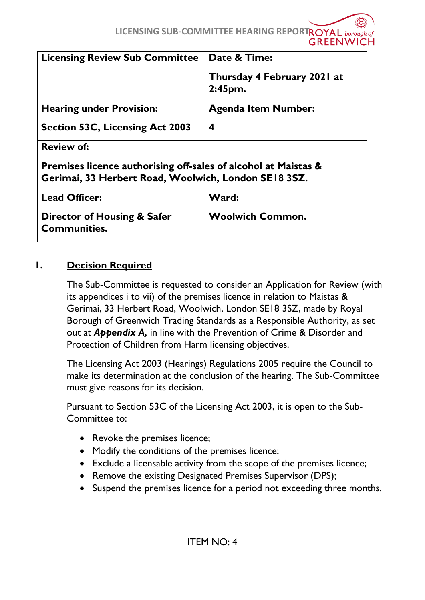| <b>Licensing Review Sub Committee</b>                                                                                             | <b>Date &amp; Time:</b>                |  |
|-----------------------------------------------------------------------------------------------------------------------------------|----------------------------------------|--|
|                                                                                                                                   | Thursday 4 February 2021 at<br>2:45pm. |  |
| <b>Hearing under Provision:</b>                                                                                                   | <b>Agenda Item Number:</b>             |  |
| <b>Section 53C, Licensing Act 2003</b>                                                                                            | 4                                      |  |
| <b>Review of:</b>                                                                                                                 |                                        |  |
| <b>Premises licence authorising off-sales of alcohol at Maistas &amp;</b><br>Gerimai, 33 Herbert Road, Woolwich, London SE18 3SZ. |                                        |  |
|                                                                                                                                   |                                        |  |
| <b>Lead Officer:</b>                                                                                                              | Ward:                                  |  |
| <b>Director of Housing &amp; Safer</b>                                                                                            | <b>Woolwich Common.</b>                |  |

#### **1. Decision Required**

**Communities.**

The Sub-Committee is requested to consider an Application for Review (with its appendices i to vii) of the premises licence in relation to Maistas & Gerimai, 33 Herbert Road, Woolwich, London SE18 3SZ, made by Royal Borough of Greenwich Trading Standards as a Responsible Authority, as set out at *Appendix A,* in line with the Prevention of Crime & Disorder and Protection of Children from Harm licensing objectives.

The Licensing Act 2003 (Hearings) Regulations 2005 require the Council to make its determination at the conclusion of the hearing. The Sub-Committee must give reasons for its decision.

Pursuant to Section 53C of the Licensing Act 2003, it is open to the Sub-Committee to:

- Revoke the premises licence;
- Modify the conditions of the premises licence;
- Exclude a licensable activity from the scope of the premises licence;
- Remove the existing Designated Premises Supervisor (DPS);
- Suspend the premises licence for a period not exceeding three months.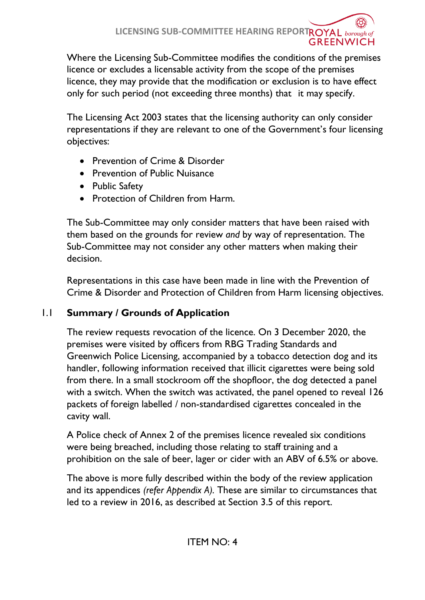Where the Licensing Sub-Committee modifies the conditions of the premises licence or excludes a licensable activity from the scope of the premises licence, they may provide that the modification or exclusion is to have effect only for such period (not exceeding three months) that it may specify.

The Licensing Act 2003 states that the licensing authority can only consider representations if they are relevant to one of the Government's four licensing objectives:

- Prevention of Crime & Disorder
- Prevention of Public Nuisance
- Public Safety
- Protection of Children from Harm.

The Sub-Committee may only consider matters that have been raised with them based on the grounds for review *and* by way of representation. The Sub-Committee may not consider any other matters when making their decision.

Representations in this case have been made in line with the Prevention of Crime & Disorder and Protection of Children from Harm licensing objectives.

# 1.1 **Summary / Grounds of Application**

The review requests revocation of the licence. On 3 December 2020, the premises were visited by officers from RBG Trading Standards and Greenwich Police Licensing, accompanied by a tobacco detection dog and its handler, following information received that illicit cigarettes were being sold from there. In a small stockroom off the shopfloor, the dog detected a panel with a switch. When the switch was activated, the panel opened to reveal 126 packets of foreign labelled / non-standardised cigarettes concealed in the cavity wall.

A Police check of Annex 2 of the premises licence revealed six conditions were being breached, including those relating to staff training and a prohibition on the sale of beer, lager or cider with an ABV of 6.5% or above.

The above is more fully described within the body of the review application and its appendices *(refer Appendix A).* These are similar to circumstances that led to a review in 2016, as described at Section 3.5 of this report.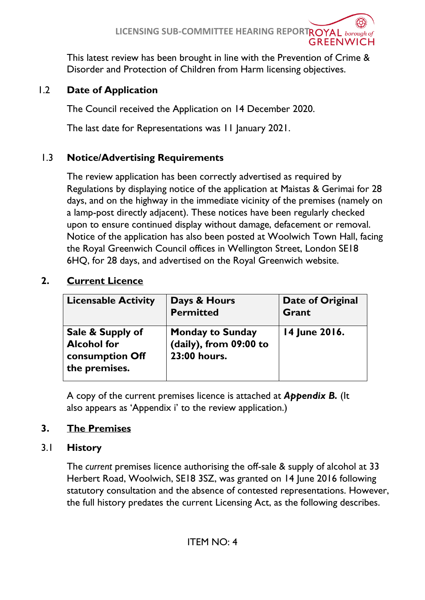This latest review has been brought in line with the Prevention of Crime & Disorder and Protection of Children from Harm licensing objectives.

# 1.2 **Date of Application**

The Council received the Application on 14 December 2020.

The last date for Representations was 11 January 2021.

## 1.3 **Notice/Advertising Requirements**

The review application has been correctly advertised as required by Regulations by displaying notice of the application at Maistas & Gerimai for 28 days, and on the highway in the immediate vicinity of the premises (namely on a lamp-post directly adjacent). These notices have been regularly checked upon to ensure continued display without damage, defacement or removal. Notice of the application has also been posted at Woolwich Town Hall, facing the Royal Greenwich Council offices in Wellington Street, London SE18 6HQ, for 28 days, and advertised on the Royal Greenwich website.

## **2. Current Licence**

| <b>Licensable Activity</b>                                                 | Days & Hours<br><b>Permitted</b>                                  | Date of Original<br><b>Grant</b> |
|----------------------------------------------------------------------------|-------------------------------------------------------------------|----------------------------------|
| Sale & Supply of<br><b>Alcohol for</b><br>consumption Off<br>the premises. | <b>Monday to Sunday</b><br>(daily), from 09:00 to<br>23:00 hours. | 14 June 2016.                    |

A copy of the current premises licence is attached at *Appendix B.* (It also appears as 'Appendix i' to the review application.)

## **3. The Premises**

## 3.1 **History**

The *current* premises licence authorising the off-sale & supply of alcohol at 33 Herbert Road, Woolwich, SE18 3SZ, was granted on 14 June 2016 following statutory consultation and the absence of contested representations. However, the full history predates the current Licensing Act, as the following describes.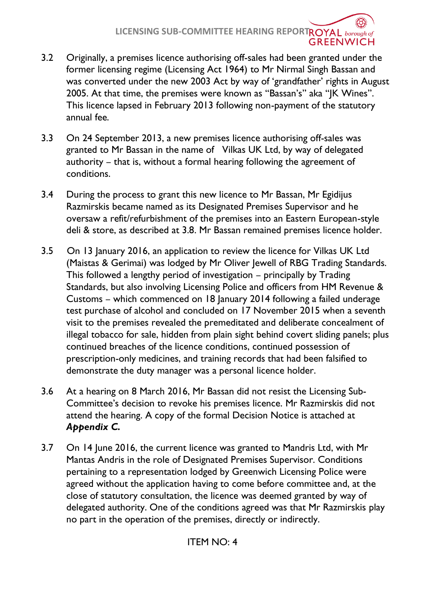- 3.2 Originally, a premises licence authorising off-sales had been granted under the former licensing regime (Licensing Act 1964) to Mr Nirmal Singh Bassan and was converted under the new 2003 Act by way of 'grandfather' rights in August 2005. At that time, the premises were known as "Bassan's" aka "JK Wines". This licence lapsed in February 2013 following non-payment of the statutory annual fee.
- 3.3 On 24 September 2013, a new premises licence authorising off-sales was granted to Mr Bassan in the name of Vilkas UK Ltd, by way of delegated authority – that is, without a formal hearing following the agreement of conditions.
- 3.4 During the process to grant this new licence to Mr Bassan, Mr Egidijus Razmirskis became named as its Designated Premises Supervisor and he oversaw a refit/refurbishment of the premises into an Eastern European-style deli & store, as described at 3.8. Mr Bassan remained premises licence holder.
- 3.5 On 13 January 2016, an application to review the licence for Vilkas UK Ltd (Maistas & Gerimai) was lodged by Mr Oliver Jewell of RBG Trading Standards. This followed a lengthy period of investigation – principally by Trading Standards, but also involving Licensing Police and officers from HM Revenue & Customs – which commenced on 18 January 2014 following a failed underage test purchase of alcohol and concluded on 17 November 2015 when a seventh visit to the premises revealed the premeditated and deliberate concealment of illegal tobacco for sale, hidden from plain sight behind covert sliding panels; plus continued breaches of the licence conditions, continued possession of prescription-only medicines, and training records that had been falsified to demonstrate the duty manager was a personal licence holder.
- 3.6 At a hearing on 8 March 2016, Mr Bassan did not resist the Licensing Sub-Committee's decision to revoke his premises licence. Mr Razmirskis did not attend the hearing. A copy of the formal Decision Notice is attached at *Appendix C.*
- 3.7 On 14 June 2016, the current licence was granted to Mandris Ltd, with Mr Mantas Andris in the role of Designated Premises Supervisor. Conditions pertaining to a representation lodged by Greenwich Licensing Police were agreed without the application having to come before committee and, at the close of statutory consultation, the licence was deemed granted by way of delegated authority. One of the conditions agreed was that Mr Razmirskis play no part in the operation of the premises, directly or indirectly.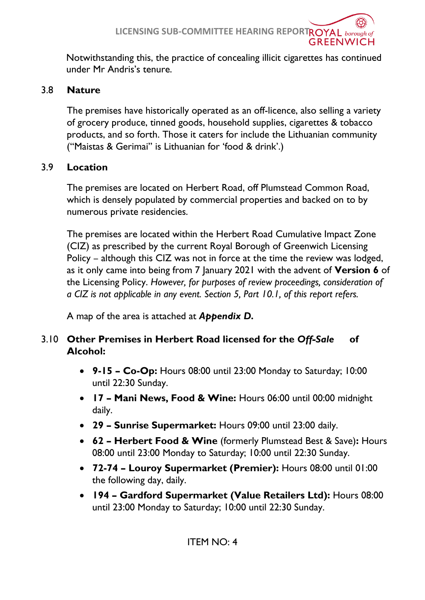**LICENSING SUB-COMMITTEE HEARING REPORTROYAL** borough of **GREENWICH** 

Notwithstanding this, the practice of concealing illicit cigarettes has continued under Mr Andris's tenure.

### 3.8 **Nature**

The premises have historically operated as an off-licence, also selling a variety of grocery produce, tinned goods, household supplies, cigarettes & tobacco products, and so forth. Those it caters for include the Lithuanian community ("Maistas & Gerimai" is Lithuanian for 'food & drink'.)

## 3.9 **Location**

The premises are located on Herbert Road, off Plumstead Common Road, which is densely populated by commercial properties and backed on to by numerous private residencies.

The premises are located within the Herbert Road Cumulative Impact Zone (CIZ) as prescribed by the current Royal Borough of Greenwich Licensing Policy – although this CIZ was not in force at the time the review was lodged, as it only came into being from 7 January 2021 with the advent of **Version 6** of the Licensing Policy. *However, for purposes of review proceedings, consideration of a CIZ is not applicable in any event. Section 5, Part 10.1, of this report refers.*

A map of the area is attached at *Appendix D.*

## 3.10 **Other Premises in Herbert Road licensed for the** *Off-Sale* **of Alcohol:**

- **9-15 – Co-Op:** Hours 08:00 until 23:00 Monday to Saturday; 10:00 until 22:30 Sunday.
- **17 – Mani News, Food & Wine:** Hours 06:00 until 00:00 midnight daily.
- **29 – Sunrise Supermarket:** Hours 09:00 until 23:00 daily.
- **62 – Herbert Food & Wine** (formerly Plumstead Best & Save)**:** Hours 08:00 until 23:00 Monday to Saturday; 10:00 until 22:30 Sunday.
- **72-74 – Louroy Supermarket (Premier):** Hours 08:00 until 01:00 the following day, daily.
- **194 – Gardford Supermarket (Value Retailers Ltd):** Hours 08:00 until 23:00 Monday to Saturday; 10:00 until 22:30 Sunday.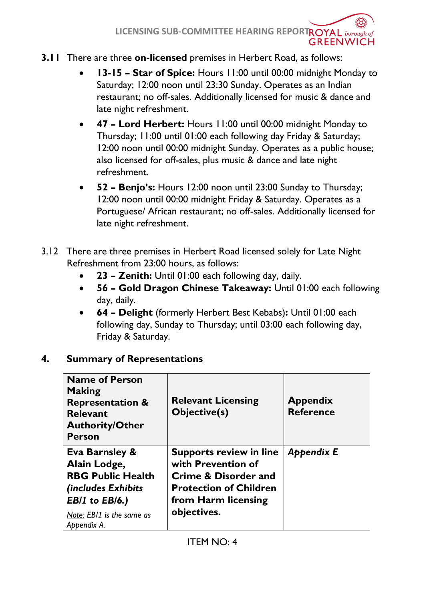#### **3.11** There are three **on-licensed** premises in Herbert Road, as follows:

- **13-15 – Star of Spice:** Hours 11:00 until 00:00 midnight Monday to Saturday; 12:00 noon until 23:30 Sunday. Operates as an Indian restaurant; no off-sales. Additionally licensed for music & dance and late night refreshment.
- **47 – Lord Herbert:** Hours 11:00 until 00:00 midnight Monday to Thursday; 11:00 until 01:00 each following day Friday & Saturday; 12:00 noon until 00:00 midnight Sunday. Operates as a public house; also licensed for off-sales, plus music & dance and late night refreshment.
- **52 – Benjo's:** Hours 12:00 noon until 23:00 Sunday to Thursday; 12:00 noon until 00:00 midnight Friday & Saturday. Operates as a Portuguese/ African restaurant; no off-sales. Additionally licensed for late night refreshment.
- 3.12 There are three premises in Herbert Road licensed solely for Late Night Refreshment from 23:00 hours, as follows:
	- **23 – Zenith:** Until 01:00 each following day, daily.
	- **56 – Gold Dragon Chinese Takeaway:** Until 01:00 each following day, daily.
	- **64 – Delight** (formerly Herbert Best Kebabs)**:** Until 01:00 each following day, Sunday to Thursday; until 03:00 each following day, Friday & Saturday.

## **4. Summary of Representations**

| <b>Name of Person</b><br><b>Making</b><br><b>Representation &amp;</b><br><b>Relevant</b><br><b>Authority/Other</b><br><b>Person</b>                                      | <b>Relevant Licensing</b><br><b>Objective(s)</b>                                                                                                               | <b>Appendix</b><br><b>Reference</b> |
|--------------------------------------------------------------------------------------------------------------------------------------------------------------------------|----------------------------------------------------------------------------------------------------------------------------------------------------------------|-------------------------------------|
| <b>Eva Barnsley &amp;</b><br>Alain Lodge,<br><b>RBG Public Health</b><br>(includes Exhibits<br><b>EB/1</b> to <b>EB/6.</b> )<br>Note: EB/1 is the same as<br>Appendix A. | <b>Supports review in line</b><br>with Prevention of<br><b>Crime &amp; Disorder and</b><br><b>Protection of Children</b><br>from Harm licensing<br>objectives. | <b>Appendix E</b>                   |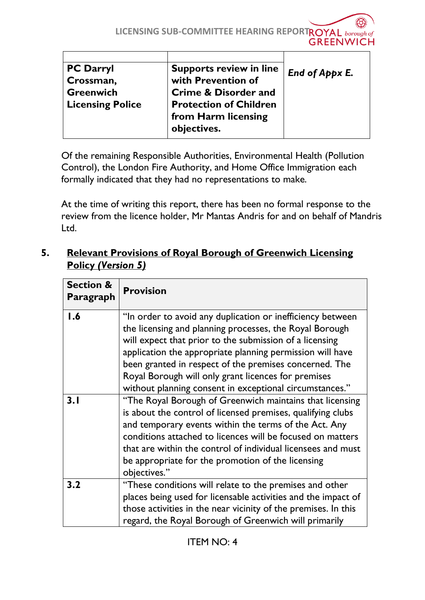| <b>PC Darryl</b>        | <b>Supports review in line</b>  | End of Appx E. |
|-------------------------|---------------------------------|----------------|
| Crossman,               | with Prevention of              |                |
| <b>Greenwich</b>        | <b>Crime &amp; Disorder and</b> |                |
| <b>Licensing Police</b> | <b>Protection of Children</b>   |                |
|                         | from Harm licensing             |                |
|                         | objectives.                     |                |
|                         |                                 |                |

Of the remaining Responsible Authorities, Environmental Health (Pollution Control), the London Fire Authority, and Home Office Immigration each formally indicated that they had no representations to make.

At the time of writing this report, there has been no formal response to the review from the licence holder, Mr Mantas Andris for and on behalf of Mandris Ltd.

## **5. Relevant Provisions of Royal Borough of Greenwich Licensing Policy** *(Version 5)*

| <b>Section &amp;</b><br>Paragraph | <b>Provision</b>                                                                                                                                                                                                                                                                                                                                                                                                          |
|-----------------------------------|---------------------------------------------------------------------------------------------------------------------------------------------------------------------------------------------------------------------------------------------------------------------------------------------------------------------------------------------------------------------------------------------------------------------------|
| 1.6                               | "In order to avoid any duplication or inefficiency between<br>the licensing and planning processes, the Royal Borough<br>will expect that prior to the submission of a licensing<br>application the appropriate planning permission will have<br>been granted in respect of the premises concerned. The<br>Royal Borough will only grant licences for premises<br>without planning consent in exceptional circumstances." |
| 3.1                               | "The Royal Borough of Greenwich maintains that licensing<br>is about the control of licensed premises, qualifying clubs<br>and temporary events within the terms of the Act. Any<br>conditions attached to licences will be focused on matters<br>that are within the control of individual licensees and must<br>be appropriate for the promotion of the licensing<br>objectives."                                       |
| 3.2                               | "These conditions will relate to the premises and other<br>places being used for licensable activities and the impact of<br>those activities in the near vicinity of the premises. In this<br>regard, the Royal Borough of Greenwich will primarily                                                                                                                                                                       |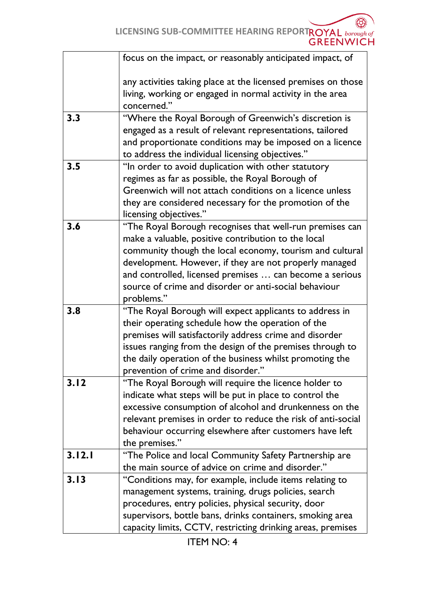|        | focus on the impact, or reasonably anticipated impact, of     |
|--------|---------------------------------------------------------------|
|        | any activities taking place at the licensed premises on those |
|        | living, working or engaged in normal activity in the area     |
|        | concerned."                                                   |
| 3.3    | "Where the Royal Borough of Greenwich's discretion is         |
|        | engaged as a result of relevant representations, tailored     |
|        | and proportionate conditions may be imposed on a licence      |
|        | to address the individual licensing objectives."              |
| 3.5    | "In order to avoid duplication with other statutory           |
|        | regimes as far as possible, the Royal Borough of              |
|        | Greenwich will not attach conditions on a licence unless      |
|        | they are considered necessary for the promotion of the        |
|        | licensing objectives."                                        |
| 3.6    | "The Royal Borough recognises that well-run premises can      |
|        | make a valuable, positive contribution to the local           |
|        | community though the local economy, tourism and cultural      |
|        | development. However, if they are not properly managed        |
|        | and controlled, licensed premises  can become a serious       |
|        | source of crime and disorder or anti-social behaviour         |
|        | problems."                                                    |
| 3.8    | "The Royal Borough will expect applicants to address in       |
|        | their operating schedule how the operation of the             |
|        | premises will satisfactorily address crime and disorder       |
|        | issues ranging from the design of the premises through to     |
|        | the daily operation of the business whilst promoting the      |
|        | prevention of crime and disorder."                            |
| 3.12   | "The Royal Borough will require the licence holder to         |
|        | indicate what steps will be put in place to control the       |
|        | excessive consumption of alcohol and drunkenness on the       |
|        | relevant premises in order to reduce the risk of anti-social  |
|        | behaviour occurring elsewhere after customers have left       |
|        | the premises."                                                |
| 3.12.1 | "The Police and local Community Safety Partnership are        |
|        | the main source of advice on crime and disorder."             |
| 3.13   | "Conditions may, for example, include items relating to       |
|        | management systems, training, drugs policies, search          |
|        | procedures, entry policies, physical security, door           |
|        | supervisors, bottle bans, drinks containers, smoking area     |
|        | capacity limits, CCTV, restricting drinking areas, premises   |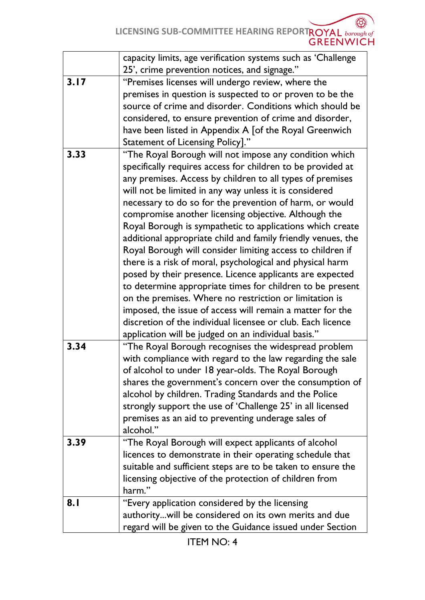LICENSING SUB-COMMITTEE HEARING REPORTROYAL **borough of**<br>GREENWICH

|      | capacity limits, age verification systems such as 'Challenge |
|------|--------------------------------------------------------------|
|      | 25', crime prevention notices, and signage."                 |
| 3.17 | "Premises licenses will undergo review, where the            |
|      | premises in question is suspected to or proven to be the     |
|      | source of crime and disorder. Conditions which should be     |
|      | considered, to ensure prevention of crime and disorder,      |
|      | have been listed in Appendix A [of the Royal Greenwich       |
|      | Statement of Licensing Policy]."                             |
| 3.33 | "The Royal Borough will not impose any condition which       |
|      | specifically requires access for children to be provided at  |
|      | any premises. Access by children to all types of premises    |
|      | will not be limited in any way unless it is considered       |
|      | necessary to do so for the prevention of harm, or would      |
|      | compromise another licensing objective. Although the         |
|      | Royal Borough is sympathetic to applications which create    |
|      | additional appropriate child and family friendly venues, the |
|      | Royal Borough will consider limiting access to children if   |
|      | there is a risk of moral, psychological and physical harm    |
|      | posed by their presence. Licence applicants are expected     |
|      | to determine appropriate times for children to be present    |
|      | on the premises. Where no restriction or limitation is       |
|      | imposed, the issue of access will remain a matter for the    |
|      | discretion of the individual licensee or club. Each licence  |
|      | application will be judged on an individual basis."          |
| 3.34 | "The Royal Borough recognises the widespread problem         |
|      | with compliance with regard to the law regarding the sale    |
|      | of alcohol to under 18 year-olds. The Royal Borough          |
|      | shares the government's concern over the consumption of      |
|      | alcohol by children. Trading Standards and the Police        |
|      | strongly support the use of 'Challenge 25' in all licensed   |
|      | premises as an aid to preventing underage sales of           |
|      | alcohol."                                                    |
| 3.39 | "The Royal Borough will expect applicants of alcohol         |
|      | licences to demonstrate in their operating schedule that     |
|      | suitable and sufficient steps are to be taken to ensure the  |
|      | licensing objective of the protection of children from       |
|      | harm."                                                       |
| 8.1  | "Every application considered by the licensing               |
|      | authoritywill be considered on its own merits and due        |
|      | regard will be given to the Guidance issued under Section    |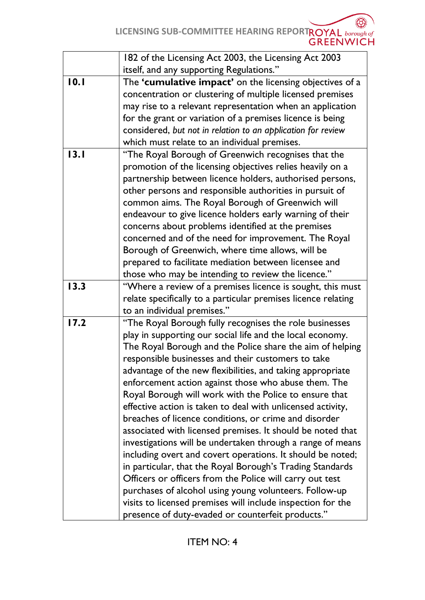|      | 182 of the Licensing Act 2003, the Licensing Act 2003         |
|------|---------------------------------------------------------------|
|      | itself, and any supporting Regulations."                      |
| 10.1 | The 'cumulative impact' on the licensing objectives of a      |
|      | concentration or clustering of multiple licensed premises     |
|      | may rise to a relevant representation when an application     |
|      | for the grant or variation of a premises licence is being     |
|      | considered, but not in relation to an application for review  |
|      | which must relate to an individual premises.                  |
| 13.1 | "The Royal Borough of Greenwich recognises that the           |
|      | promotion of the licensing objectives relies heavily on a     |
|      | partnership between licence holders, authorised persons,      |
|      | other persons and responsible authorities in pursuit of       |
|      | common aims. The Royal Borough of Greenwich will              |
|      | endeavour to give licence holders early warning of their      |
|      | concerns about problems identified at the premises            |
|      | concerned and of the need for improvement. The Royal          |
|      | Borough of Greenwich, where time allows, will be              |
|      | prepared to facilitate mediation between licensee and         |
|      | those who may be intending to review the licence."            |
| 13.3 | "Where a review of a premises licence is sought, this must    |
|      | relate specifically to a particular premises licence relating |
|      | to an individual premises."                                   |
| 17.2 | "The Royal Borough fully recognises the role businesses       |
|      | play in supporting our social life and the local economy.     |
|      | The Royal Borough and the Police share the aim of helping     |
|      | responsible businesses and their customers to take            |
|      | advantage of the new flexibilities, and taking appropriate    |
|      | enforcement action against those who abuse them. The          |
|      | Royal Borough will work with the Police to ensure that        |
|      | effective action is taken to deal with unlicensed activity,   |
|      | breaches of licence conditions, or crime and disorder         |
|      | associated with licensed premises. It should be noted that    |
|      | investigations will be undertaken through a range of means    |
|      | including overt and covert operations. It should be noted;    |
|      | in particular, that the Royal Borough's Trading Standards     |
|      | Officers or officers from the Police will carry out test      |
|      | purchases of alcohol using young volunteers. Follow-up        |
|      | visits to licensed premises will include inspection for the   |
|      | presence of duty-evaded or counterfeit products."             |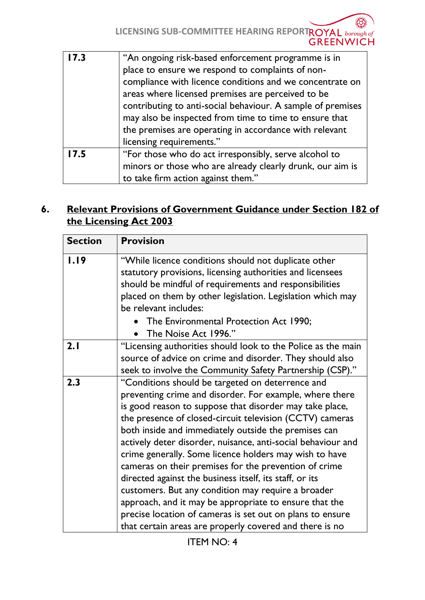| 17.3 | "An ongoing risk-based enforcement programme is in          |
|------|-------------------------------------------------------------|
|      | place to ensure we respond to complaints of non-            |
|      | compliance with licence conditions and we concentrate on    |
|      | areas where licensed premises are perceived to be           |
|      | contributing to anti-social behaviour. A sample of premises |
|      | may also be inspected from time to time to ensure that      |
|      | the premises are operating in accordance with relevant      |
|      | licensing requirements."                                    |
| 17.5 | "For those who do act irresponsibly, serve alcohol to       |
|      | minors or those who are already clearly drunk, our aim is   |
|      | to take firm action against them."                          |

## **6. Relevant Provisions of Government Guidance under Section 182 of the Licensing Act 2003**

| <b>Section</b> | <b>Provision</b>                                                                                                                                                                                                                                                                                                                                                                                                                                                                                                                                                                                                                                                                                                                                                                 |
|----------------|----------------------------------------------------------------------------------------------------------------------------------------------------------------------------------------------------------------------------------------------------------------------------------------------------------------------------------------------------------------------------------------------------------------------------------------------------------------------------------------------------------------------------------------------------------------------------------------------------------------------------------------------------------------------------------------------------------------------------------------------------------------------------------|
| 1.19           | "While licence conditions should not duplicate other<br>statutory provisions, licensing authorities and licensees<br>should be mindful of requirements and responsibilities<br>placed on them by other legislation. Legislation which may<br>be relevant includes:<br>The Environmental Protection Act 1990;<br>The Noise Act 1996."                                                                                                                                                                                                                                                                                                                                                                                                                                             |
| 2.1            | "Licensing authorities should look to the Police as the main<br>source of advice on crime and disorder. They should also<br>seek to involve the Community Safety Partnership (CSP)."                                                                                                                                                                                                                                                                                                                                                                                                                                                                                                                                                                                             |
| 2.3            | "Conditions should be targeted on deterrence and<br>preventing crime and disorder. For example, where there<br>is good reason to suppose that disorder may take place,<br>the presence of closed-circuit television (CCTV) cameras<br>both inside and immediately outside the premises can<br>actively deter disorder, nuisance, anti-social behaviour and<br>crime generally. Some licence holders may wish to have<br>cameras on their premises for the prevention of crime<br>directed against the business itself, its staff, or its<br>customers. But any condition may require a broader<br>approach, and it may be appropriate to ensure that the<br>precise location of cameras is set out on plans to ensure<br>that certain areas are properly covered and there is no |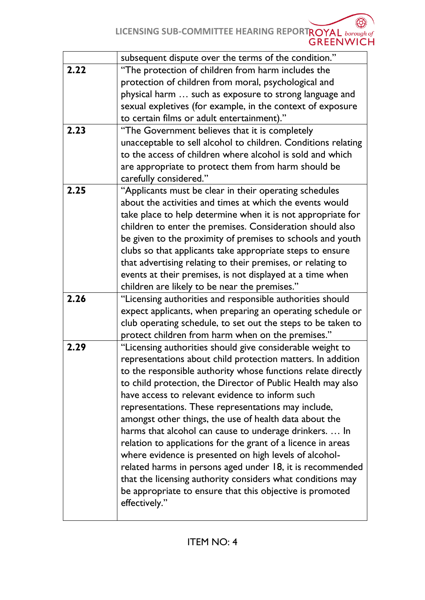Ĩ8 LICENSING SUB-COMMITTEE HEARING REPORTROYAL **borough of**<br>GREENWICH

|      | subsequent dispute over the terms of the condition."          |
|------|---------------------------------------------------------------|
| 2.22 | "The protection of children from harm includes the            |
|      | protection of children from moral, psychological and          |
|      | physical harm  such as exposure to strong language and        |
|      | sexual expletives (for example, in the context of exposure    |
|      | to certain films or adult entertainment)."                    |
| 2.23 | "The Government believes that it is completely                |
|      | unacceptable to sell alcohol to children. Conditions relating |
|      | to the access of children where alcohol is sold and which     |
|      |                                                               |
|      | are appropriate to protect them from harm should be           |
|      | carefully considered."                                        |
| 2.25 | "Applicants must be clear in their operating schedules        |
|      | about the activities and times at which the events would      |
|      | take place to help determine when it is not appropriate for   |
|      | children to enter the premises. Consideration should also     |
|      | be given to the proximity of premises to schools and youth    |
|      | clubs so that applicants take appropriate steps to ensure     |
|      | that advertising relating to their premises, or relating to   |
|      | events at their premises, is not displayed at a time when     |
|      | children are likely to be near the premises."                 |
| 2.26 | "Licensing authorities and responsible authorities should     |
|      | expect applicants, when preparing an operating schedule or    |
|      | club operating schedule, to set out the steps to be taken to  |
|      | protect children from harm when on the premises."             |
| 2.29 | "Licensing authorities should give considerable weight to     |
|      | representations about child protection matters. In addition   |
|      | to the responsible authority whose functions relate directly  |
|      | to child protection, the Director of Public Health may also   |
|      | have access to relevant evidence to inform such               |
|      | representations. These representations may include,           |
|      | amongst other things, the use of health data about the        |
|      |                                                               |
|      | harms that alcohol can cause to underage drinkers.  In        |
|      | relation to applications for the grant of a licence in areas  |
|      | where evidence is presented on high levels of alcohol-        |
|      | related harms in persons aged under 18, it is recommended     |
|      | that the licensing authority considers what conditions may    |
|      | be appropriate to ensure that this objective is promoted      |
|      | effectively."                                                 |
|      |                                                               |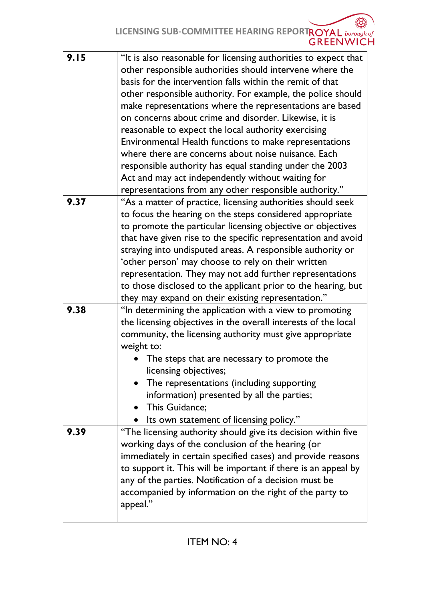LICENSING SUB-COMMITTEE HEARING REPORTROYAL **borough of**<br>GREENWICH Œ,

| 9.15 | "It is also reasonable for licensing authorities to expect that |
|------|-----------------------------------------------------------------|
|      | other responsible authorities should intervene where the        |
|      | basis for the intervention falls within the remit of that       |
|      | other responsible authority. For example, the police should     |
|      | make representations where the representations are based        |
|      | on concerns about crime and disorder. Likewise, it is           |
|      | reasonable to expect the local authority exercising             |
|      |                                                                 |
|      | Environmental Health functions to make representations          |
|      | where there are concerns about noise nuisance. Each             |
|      | responsible authority has equal standing under the 2003         |
|      | Act and may act independently without waiting for               |
|      | representations from any other responsible authority."          |
| 9.37 | "As a matter of practice, licensing authorities should seek     |
|      | to focus the hearing on the steps considered appropriate        |
|      | to promote the particular licensing objective or objectives     |
|      | that have given rise to the specific representation and avoid   |
|      | straying into undisputed areas. A responsible authority or      |
|      | 'other person' may choose to rely on their written              |
|      | representation. They may not add further representations        |
|      | to those disclosed to the applicant prior to the hearing, but   |
|      | they may expand on their existing representation."              |
| 9.38 | "In determining the application with a view to promoting        |
|      | the licensing objectives in the overall interests of the local  |
|      | community, the licensing authority must give appropriate        |
|      | weight to:                                                      |
|      |                                                                 |
|      | The steps that are necessary to promote the                     |
|      | licensing objectives;                                           |
|      | The representations (including supporting                       |
|      | information) presented by all the parties;                      |
|      | This Guidance;<br>$\bullet$                                     |
|      | Its own statement of licensing policy."                         |
| 9.39 | "The licensing authority should give its decision within five   |
|      | working days of the conclusion of the hearing (or               |
|      | immediately in certain specified cases) and provide reasons     |
|      | to support it. This will be important if there is an appeal by  |
|      | any of the parties. Notification of a decision must be          |
|      | accompanied by information on the right of the party to         |
|      | appeal."                                                        |
|      |                                                                 |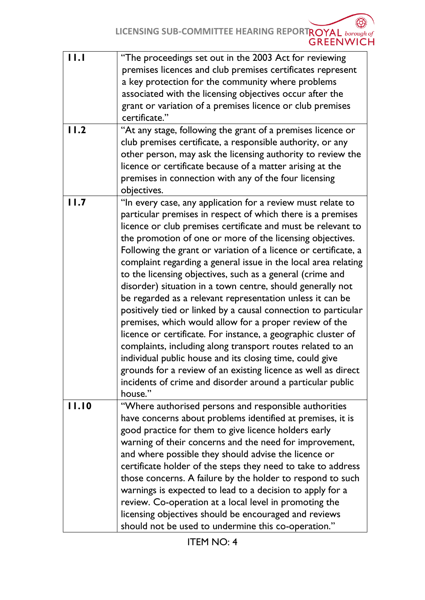| 11.1  | "The proceedings set out in the 2003 Act for reviewing<br>premises licences and club premises certificates represent<br>a key protection for the community where problems<br>associated with the licensing objectives occur after the<br>grant or variation of a premises licence or club premises<br>certificate."                                                                                                                                                                                                                                                                                                                                                                                                                                                                                                                                                                                                                                                                                                                                   |
|-------|-------------------------------------------------------------------------------------------------------------------------------------------------------------------------------------------------------------------------------------------------------------------------------------------------------------------------------------------------------------------------------------------------------------------------------------------------------------------------------------------------------------------------------------------------------------------------------------------------------------------------------------------------------------------------------------------------------------------------------------------------------------------------------------------------------------------------------------------------------------------------------------------------------------------------------------------------------------------------------------------------------------------------------------------------------|
| 11.2  | "At any stage, following the grant of a premises licence or<br>club premises certificate, a responsible authority, or any<br>other person, may ask the licensing authority to review the<br>licence or certificate because of a matter arising at the<br>premises in connection with any of the four licensing<br>objectives.                                                                                                                                                                                                                                                                                                                                                                                                                                                                                                                                                                                                                                                                                                                         |
| 11.7  | "In every case, any application for a review must relate to<br>particular premises in respect of which there is a premises<br>licence or club premises certificate and must be relevant to<br>the promotion of one or more of the licensing objectives.<br>Following the grant or variation of a licence or certificate, a<br>complaint regarding a general issue in the local area relating<br>to the licensing objectives, such as a general (crime and<br>disorder) situation in a town centre, should generally not<br>be regarded as a relevant representation unless it can be<br>positively tied or linked by a causal connection to particular<br>premises, which would allow for a proper review of the<br>licence or certificate. For instance, a geographic cluster of<br>complaints, including along transport routes related to an<br>individual public house and its closing time, could give<br>grounds for a review of an existing licence as well as direct<br>incidents of crime and disorder around a particular public<br>house." |
| 11.10 | "Where authorised persons and responsible authorities<br>have concerns about problems identified at premises, it is<br>good practice for them to give licence holders early<br>warning of their concerns and the need for improvement,<br>and where possible they should advise the licence or<br>certificate holder of the steps they need to take to address<br>those concerns. A failure by the holder to respond to such<br>warnings is expected to lead to a decision to apply for a<br>review. Co-operation at a local level in promoting the<br>licensing objectives should be encouraged and reviews<br>should not be used to undermine this co-operation."                                                                                                                                                                                                                                                                                                                                                                                   |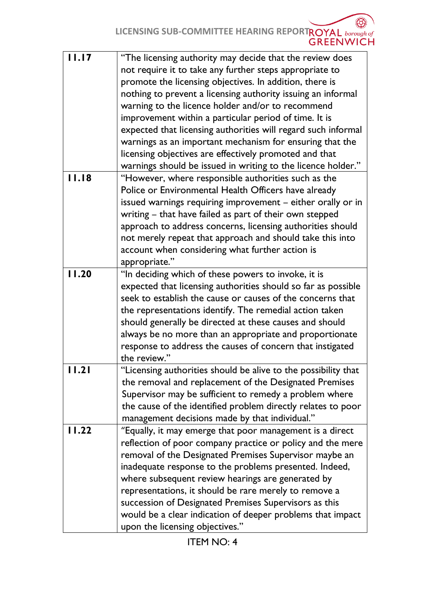LICENSING SUB-COMMITTEE HEARING REPORTROYAL **borough of**<br>GREENWICH

| 11.17 | "The licensing authority may decide that the review does<br>not require it to take any further steps appropriate to<br>promote the licensing objectives. In addition, there is<br>nothing to prevent a licensing authority issuing an informal<br>warning to the licence holder and/or to recommend<br>improvement within a particular period of time. It is<br>expected that licensing authorities will regard such informal<br>warnings as an important mechanism for ensuring that the<br>licensing objectives are effectively promoted and that<br>warnings should be issued in writing to the licence holder." |
|-------|---------------------------------------------------------------------------------------------------------------------------------------------------------------------------------------------------------------------------------------------------------------------------------------------------------------------------------------------------------------------------------------------------------------------------------------------------------------------------------------------------------------------------------------------------------------------------------------------------------------------|
| 11.18 | "However, where responsible authorities such as the<br>Police or Environmental Health Officers have already<br>issued warnings requiring improvement - either orally or in<br>writing – that have failed as part of their own stepped<br>approach to address concerns, licensing authorities should<br>not merely repeat that approach and should take this into<br>account when considering what further action is<br>appropriate."                                                                                                                                                                                |
| 11.20 | "In deciding which of these powers to invoke, it is<br>expected that licensing authorities should so far as possible<br>seek to establish the cause or causes of the concerns that<br>the representations identify. The remedial action taken<br>should generally be directed at these causes and should<br>always be no more than an appropriate and proportionate<br>response to address the causes of concern that instigated<br>the review."                                                                                                                                                                    |
| 11.21 | Licensing authorities should be alive to the possibility that<br>the removal and replacement of the Designated Premises<br>Supervisor may be sufficient to remedy a problem where<br>the cause of the identified problem directly relates to poor<br>management decisions made by that individual."                                                                                                                                                                                                                                                                                                                 |
| 11.22 | "Equally, it may emerge that poor management is a direct<br>reflection of poor company practice or policy and the mere<br>removal of the Designated Premises Supervisor maybe an<br>inadequate response to the problems presented. Indeed,<br>where subsequent review hearings are generated by<br>representations, it should be rare merely to remove a<br>succession of Designated Premises Supervisors as this<br>would be a clear indication of deeper problems that impact<br>upon the licensing objectives."                                                                                                  |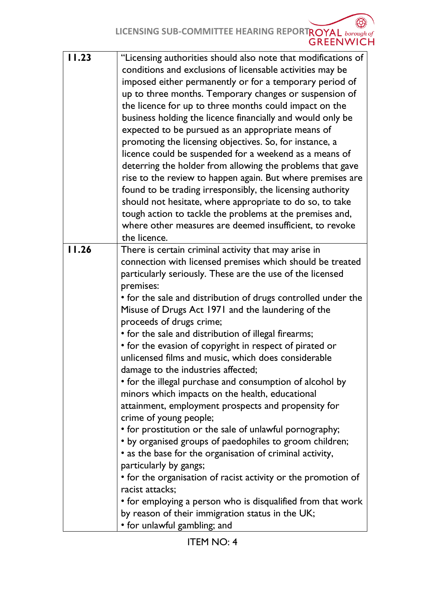LICENSING SUB-COMMITTEE HEARING REPORTROYAL **borough of**<br>GREENWICH

| 11.23 | "Licensing authorities should also note that modifications of<br>conditions and exclusions of licensable activities may be<br>imposed either permanently or for a temporary period of<br>up to three months. Temporary changes or suspension of<br>the licence for up to three months could impact on the<br>business holding the licence financially and would only be<br>expected to be pursued as an appropriate means of<br>promoting the licensing objectives. So, for instance, a<br>licence could be suspended for a weekend as a means of<br>deterring the holder from allowing the problems that gave<br>rise to the review to happen again. But where premises are<br>found to be trading irresponsibly, the licensing authority<br>should not hesitate, where appropriate to do so, to take<br>tough action to tackle the problems at the premises and,<br>where other measures are deemed insufficient, to revoke<br>the licence.                                                                                                                                                                                                             |
|-------|-----------------------------------------------------------------------------------------------------------------------------------------------------------------------------------------------------------------------------------------------------------------------------------------------------------------------------------------------------------------------------------------------------------------------------------------------------------------------------------------------------------------------------------------------------------------------------------------------------------------------------------------------------------------------------------------------------------------------------------------------------------------------------------------------------------------------------------------------------------------------------------------------------------------------------------------------------------------------------------------------------------------------------------------------------------------------------------------------------------------------------------------------------------|
| 11.26 | There is certain criminal activity that may arise in                                                                                                                                                                                                                                                                                                                                                                                                                                                                                                                                                                                                                                                                                                                                                                                                                                                                                                                                                                                                                                                                                                      |
|       | connection with licensed premises which should be treated<br>particularly seriously. These are the use of the licensed<br>premises:<br>• for the sale and distribution of drugs controlled under the<br>Misuse of Drugs Act 1971 and the laundering of the<br>proceeds of drugs crime;<br>• for the sale and distribution of illegal firearms;<br>• for the evasion of copyright in respect of pirated or<br>unlicensed films and music, which does considerable<br>damage to the industries affected;<br>• for the illegal purchase and consumption of alcohol by<br>minors which impacts on the health, educational<br>attainment, employment prospects and propensity for<br>crime of young people;<br>• for prostitution or the sale of unlawful pornography;<br>• by organised groups of paedophiles to groom children;<br>• as the base for the organisation of criminal activity,<br>particularly by gangs;<br>• for the organisation of racist activity or the promotion of<br>racist attacks;<br>• for employing a person who is disqualified from that work<br>by reason of their immigration status in the UK;<br>• for unlawful gambling; and |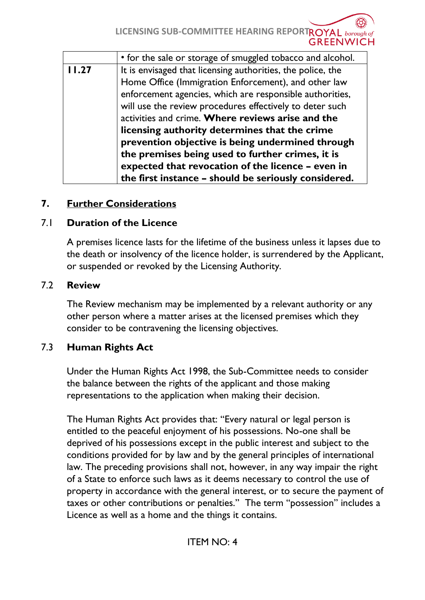**LICENSING SUB-COMMITTEE HEARING REPORTROYAL** borough of **GREENWICH** 

|       | • for the sale or storage of smuggled tobacco and alcohol.  |
|-------|-------------------------------------------------------------|
| 11.27 | It is envisaged that licensing authorities, the police, the |
|       | Home Office (Immigration Enforcement), and other law        |
|       | enforcement agencies, which are responsible authorities,    |
|       | will use the review procedures effectively to deter such    |
|       | activities and crime. Where reviews arise and the           |
|       | licensing authority determines that the crime               |
|       | prevention objective is being undermined through            |
|       | the premises being used to further crimes, it is            |
|       | expected that revocation of the licence - even in           |
|       | the first instance - should be seriously considered.        |

### **7. Further Considerations**

### 7.1 **Duration of the Licence**

A premises licence lasts for the lifetime of the business unless it lapses due to the death or insolvency of the licence holder, is surrendered by the Applicant, or suspended or revoked by the Licensing Authority.

#### 7.2 **Review**

The Review mechanism may be implemented by a relevant authority or any other person where a matter arises at the licensed premises which they consider to be contravening the licensing objectives.

# 7.3 **Human Rights Act**

Under the Human Rights Act 1998, the Sub-Committee needs to consider the balance between the rights of the applicant and those making representations to the application when making their decision.

The Human Rights Act provides that: "Every natural or legal person is entitled to the peaceful enjoyment of his possessions. No-one shall be deprived of his possessions except in the public interest and subject to the conditions provided for by law and by the general principles of international law. The preceding provisions shall not, however, in any way impair the right of a State to enforce such laws as it deems necessary to control the use of property in accordance with the general interest, or to secure the payment of taxes or other contributions or penalties." The term "possession" includes a Licence as well as a home and the things it contains.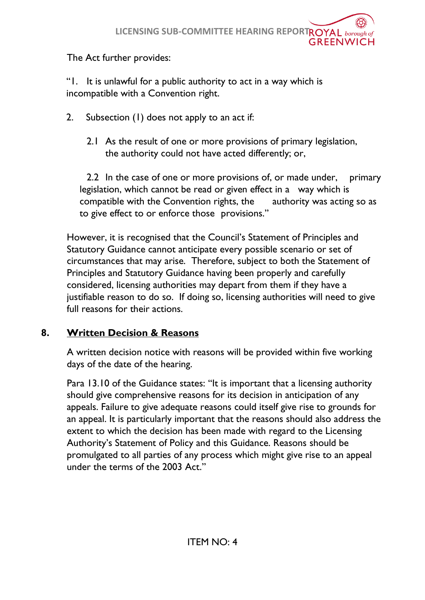## The Act further provides:

"1. It is unlawful for a public authority to act in a way which is incompatible with a Convention right.

- 2. Subsection (1) does not apply to an act if:
	- 2.1 As the result of one or more provisions of primary legislation, the authority could not have acted differently; or,

2.2 In the case of one or more provisions of, or made under, primary legislation, which cannot be read or given effect in a way which is compatible with the Convention rights, the authority was acting so as to give effect to or enforce those provisions."

However, it is recognised that the Council's Statement of Principles and Statutory Guidance cannot anticipate every possible scenario or set of circumstances that may arise. Therefore, subject to both the Statement of Principles and Statutory Guidance having been properly and carefully considered, licensing authorities may depart from them if they have a justifiable reason to do so. If doing so, licensing authorities will need to give full reasons for their actions.

## **8. Written Decision & Reasons**

A written decision notice with reasons will be provided within five working days of the date of the hearing.

Para 13.10 of the Guidance states: "It is important that a licensing authority should give comprehensive reasons for its decision in anticipation of any appeals. Failure to give adequate reasons could itself give rise to grounds for an appeal. It is particularly important that the reasons should also address the extent to which the decision has been made with regard to the Licensing Authority's Statement of Policy and this Guidance. Reasons should be promulgated to all parties of any process which might give rise to an appeal under the terms of the 2003 Act."